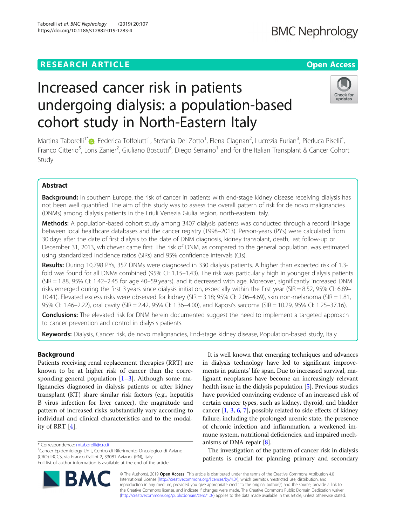## **RESEARCH ARTICLE Example 2018 12:30 THE Open Access**

# Increased cancer risk in patients undergoing dialysis: a population-based cohort study in North-Eastern Italy

Martina Taborelli<sup>1[\\*](http://orcid.org/0000-0002-6731-7569)</sup>©, Federica Toffolutti<sup>1</sup>, Stefania Del Zotto<sup>1</sup>, Elena Clagnan<sup>2</sup>, Lucrezia Furian<sup>3</sup>, Pierluca Piselli<sup>4</sup> , Franco Citterio<sup>5</sup>, Loris Zanier<sup>2</sup>, Giuliano Boscutti<sup>6</sup>, Diego Serraino<sup>1</sup> and for the Italian Transplant & Cancer Cohort Study

## Abstract

Background: In southern Europe, the risk of cancer in patients with end-stage kidney disease receiving dialysis has not been well quantified. The aim of this study was to assess the overall pattern of risk for de novo malignancies (DNMs) among dialysis patients in the Friuli Venezia Giulia region, north-eastern Italy.

Methods: A population-based cohort study among 3407 dialysis patients was conducted through a record linkage between local healthcare databases and the cancer registry (1998–2013). Person-years (PYs) were calculated from 30 days after the date of first dialysis to the date of DNM diagnosis, kidney transplant, death, last follow-up or December 31, 2013, whichever came first. The risk of DNM, as compared to the general population, was estimated using standardized incidence ratios (SIRs) and 95% confidence intervals (CIs).

Results: During 10,798 PYs, 357 DNMs were diagnosed in 330 dialysis patients. A higher than expected risk of 1.3fold was found for all DNMs combined (95% CI: 1.15–1.43). The risk was particularly high in younger dialysis patients (SIR = 1.88, 95% CI: 1.42–2.45 for age 40–59 years), and it decreased with age. Moreover, significantly increased DNM risks emerged during the first 3 years since dialysis initiation, especially within the first year (SIR = 8.52, 95% CI: 6.89– 10.41). Elevated excess risks were observed for kidney (SIR = 3.18; 95% CI: 2.06–4.69), skin non-melanoma (SIR = 1.81, 95% CI: 1.46–2.22), oral cavity (SIR = 2.42, 95% CI: 1.36–4.00), and Kaposi's sarcoma (SIR = 10.29, 95% CI: 1.25–37.16).

Conclusions: The elevated risk for DNM herein documented suggest the need to implement a targeted approach to cancer prevention and control in dialysis patients.

Keywords: Dialysis, Cancer risk, de novo malignancies, End-stage kidney disease, Population-based study, Italy

### Background

Patients receiving renal replacement therapies (RRT) are known to be at higher risk of cancer than the corresponding general population  $[1-3]$  $[1-3]$  $[1-3]$ . Although some malignancies diagnosed in dialysis patients or after kidney transplant (KT) share similar risk factors (e.g., hepatitis B virus infection for liver cancer), the magnitude and pattern of increased risks substantially vary according to individual and clinical characteristics and to the modality of RRT [\[4](#page-7-0)].

\* Correspondence: [mtaborelli@cro.it](mailto:mtaborelli@cro.it) <sup>1</sup>

© The Author(s). 2019 **Open Access** This article is distributed under the terms of the Creative Commons Attribution 4.0 International License [\(http://creativecommons.org/licenses/by/4.0/](http://creativecommons.org/licenses/by/4.0/)), which permits unrestricted use, distribution, and reproduction in any medium, provided you give appropriate credit to the original author(s) and the source, provide a link to the Creative Commons license, and indicate if changes were made. The Creative Commons Public Domain Dedication waiver [\(http://creativecommons.org/publicdomain/zero/1.0/](http://creativecommons.org/publicdomain/zero/1.0/)) applies to the data made available in this article, unless otherwise stated.

It is well known that emerging techniques and advances in dialysis technology have led to significant improvements in patients' life span. Due to increased survival, malignant neoplasms have become an increasingly relevant health issue in the dialysis population [\[5\]](#page-7-0). Previous studies have provided convincing evidence of an increased risk of certain cancer types, such as kidney, thyroid, and bladder cancer [[1,](#page-7-0) [3](#page-7-0), [6](#page-7-0), [7\]](#page-7-0), possibly related to side effects of kidney failure, including the prolonged uremic state, the presence of chronic infection and inflammation, a weakened immune system, nutritional deficiencies, and impaired mechanisms of DNA repair [\[8](#page-7-0)].

The investigation of the pattern of cancer risk in dialysis patients is crucial for planning primary and secondary





updates

Cancer Epidemiology Unit, Centro di Riferimento Oncologico di Aviano (CRO) IRCCS, via Franco Gallini 2, 33081 Aviano, (PN), Italy Full list of author information is available at the end of the article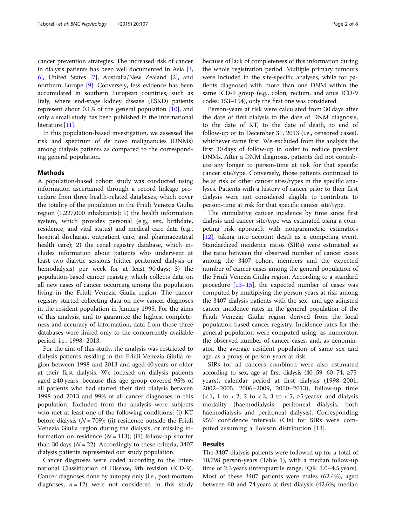cancer prevention strategies. The increased risk of cancer in dialysis patients has been well documented in Asia [[3](#page-7-0), [6\]](#page-7-0), United States [[7](#page-7-0)], Australia/New Zealand [[2](#page-7-0)], and northern Europe [\[9](#page-7-0)]. Conversely, less evidence has been accumulated in southern European countries, such as Italy, where end-stage kidney disease (ESKD) patients represent about 0.1% of the general population [\[10\]](#page-7-0), and only a small study has been published in the international literature [[11](#page-7-0)].

In this population-based investigation, we assessed the risk and spectrum of de novo malignancies (DNMs) among dialysis patients as compared to the corresponding general population.

#### Methods

A population-based cohort study was conducted using information ascertained through a record linkage procedure from three health-related databases, which cover the totality of the population in the Friuli Venezia Giulia region (1,227,000 inhabitants): 1) the health information system, which provides personal (e.g., sex, birthdate, residence, and vital status) and medical care data (e.g., hospital discharge, outpatient care, and pharmaceutical health care); 2) the renal registry database, which includes information about patients who underwent at least two dialytic sessions (either peritoneal dialysis or hemodialysis) per week for at least 90 days; 3) the population-based cancer registry, which collects data on all new cases of cancer occurring among the population living in the Friuli Venezia Giulia region. The cancer registry started collecting data on new cancer diagnoses in the resident population in January 1995. For the aims of this analysis, and to guarantee the highest completeness and accuracy of information, data from these three databases were linked only to the concurrently available period, i.e., 1998–2013.

For the aim of this study, the analysis was restricted to dialysis patients residing in the Friuli Venezia Giulia region between 1998 and 2013 and aged 40 years or older at their first dialysis. We focused on dialysis patients aged ≥40 years, because this age group covered 95% of all patients who had started their first dialysis between 1998 and 2013 and 99% of all cancer diagnoses in this population. Excluded from the analysis were subjects who met at least one of the following conditions: (i) KT before dialysis ( $N = 709$ ); (ii) residence outside the Friuli Venezia Giulia region during the dialysis, or missing information on residence  $(N = 113)$ ; (iii) follow-up shorter than 30 days ( $N = 22$ ). Accordingly to these criteria, 3407 dialysis patients represented our study population.

Cancer diagnoses were coded according to the International Classification of Disease, 9th revision (ICD-9). Cancer diagnoses done by autopsy only (i.e., post-mortem diagnoses;  $n = 12$ ) were not considered in this study

because of lack of completeness of this information during the whole registration period. Multiple primary tumours were included in the site-specific analyses, while for patients diagnosed with more than one DNM within the same ICD-9 group (e.g., colon, rectum, and anus ICD-9 codes: 153–154), only the first one was considered.

Person-years at risk were calculated from 30 days after the date of first dialysis to the date of DNM diagnosis, to the date of KT, to the date of death, to end of follow-up or to December 31, 2013 (i.e., censored cases), whichever came first. We excluded from the analysis the first 30 days of follow-up in order to reduce prevalent DNMs. After a DNM diagnosis, patients did not contribute any longer to person-time at risk for that specific cancer site/type. Conversely, those patients continued to be at risk of other cancer sites/types in the specific analyses. Patients with a history of cancer prior to their first dialysis were not considered eligible to contribute to person-time at risk for that specific cancer site/type.

The cumulative cancer incidence by time since first dialysis and cancer site/type was estimated using a competing risk approach with nonparametric estimators [[12\]](#page-7-0), taking into account death as a competing event. Standardized incidence ratios (SIRs) were estimated as the ratio between the observed number of cancer cases among the 3407 cohort members and the expected number of cancer cases among the general population of the Friuli Venezia Giulia region. According to a standard procedure  $[13-15]$  $[13-15]$  $[13-15]$ , the expected number of cases was computed by multiplying the person-years at risk among the 3407 dialysis patients with the sex- and age-adjusted cancer incidence rates in the general population of the Friuli Venezia Giulia region derived from the local population-based cancer registry. Incidence rates for the general population were computed using, as numerator, the observed number of cancer cases, and, as denominator, the average resident population of same sex and age, as a proxy of person-years at risk.

SIRs for all cancers combined were also estimated according to sex, age at first dialysis (40–59, 60–74,  $\geq$ 75 years), calendar period at first dialysis (1998–2001, 2002–2005, 2006–2009, 2010–2013), follow-up time  $(< 1, 1$  to  $< 2, 2$  to  $< 3, 3$  to  $< 5, \ge 5$  years), and dialysis modality (haemodialysis, peritoneal dialysis, both haemodialysis and peritoneal dialysis). Corresponding 95% confidence intervals (CIs) for SIRs were computed assuming a Poisson distribution [\[13](#page-7-0)].

#### Results

The 3407 dialysis patients were followed up for a total of 10,798 person-years (Table [1\)](#page-2-0), with a median follow-up time of 2.3 years (interquartile range, IQR: 1.0–4.5 years). Most of these 3407 patients were males (62.4%), aged between 60 and 74 years at first dialysis (42.6%; median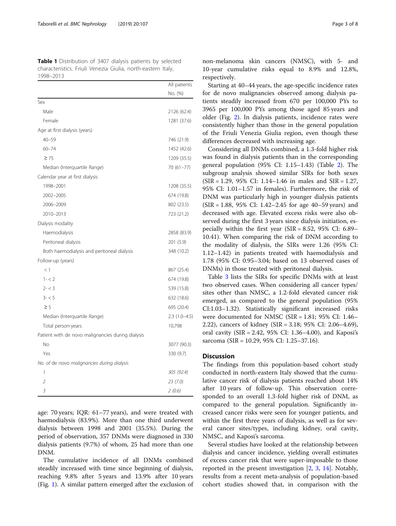<span id="page-2-0"></span>Table 1 Distribution of 3407 dialysis patients by selected characteristics. Friuli Venezia Giulia, north-eastern Italy, 1998–2013

|                                                   | All patients   |
|---------------------------------------------------|----------------|
|                                                   | No. (%)        |
| Sex                                               |                |
| Male                                              | 2126 (62.4)    |
| Female                                            | 1281 (37.6)    |
| Age at first dialysis (years)                     |                |
| $40 - 59$                                         | 746 (21.9)     |
| $60 - 74$                                         | 1452 (42.6)    |
| $\geq 75$                                         | 1209 (35.5)    |
| Median (Interquartile Range)                      | 70 (61-77)     |
| Calendar year at first dialysis                   |                |
| 1998-2001                                         | 1208 (35.5)    |
| 2002-2005                                         | 674 (19.8)     |
| 2006-2009                                         | 802 (23.5)     |
| 2010-2013                                         | 723 (21.2)     |
| Dialysis modality                                 |                |
| Haemodialysis                                     | 2858 (83.9)    |
| Peritoneal dialysis                               | 201 (5.9)      |
| Both haemodialysis and peritoneal dialysis        | 348 (10.2)     |
| Follow-up (years)                                 |                |
| <1                                                | 867 (25.4)     |
| $1 - 2$                                           | 674 (19.8)     |
| $2 - < 3$                                         | 539 (15.8)     |
| $3 - 5$                                           | 632 (18.6)     |
| $\geq 5$                                          | 695 (20.4)     |
| Median (Interquartile Range)                      | $2.3(1.0-4.5)$ |
| Total person-years                                | 10,798         |
| Patient with de novo malignancies during dialysis |                |
| No                                                | 3077 (90.3)    |
| Yes                                               | 330 (9.7)      |
| No. of de novo malignancies during dialysis       |                |
| 1                                                 | 305 (92.4)     |
| $\overline{2}$                                    | 23(7.0)        |
| 3                                                 | 2(0.6)         |

age: 70 years; IQR: 61–77 years), and were treated with haemodialysis (83.9%). More than one third underwent dialysis between 1998 and 2001 (35.5%). During the period of observation, 357 DNMs were diagnosed in 330 dialysis patients (9.7%) of whom, 25 had more than one DNM.

The cumulative incidence of all DNMs combined steadily increased with time since beginning of dialysis, reaching 9.8% after 5 years and 13.9% after 10 years (Fig. [1\)](#page-3-0). A similar pattern emerged after the exclusion of

non-melanoma skin cancers (NMSC), with 5- and 10-year cumulative risks equal to 8.9% and 12.8%, respectively.

Starting at 40–44 years, the age-specific incidence rates for de novo malignancies observed among dialysis patients steadily increased from 670 per 100,000 PYs to 3965 per 100,000 PYs among those aged 85 years and older (Fig. [2](#page-3-0)). In dialysis patients, incidence rates were consistently higher than those in the general population of the Friuli Venezia Giulia region, even though these differences decreased with increasing age.

Considering all DNMs combined, a 1.3-fold higher risk was found in dialysis patients than in the corresponding general population (95% CI: 1.15–1.43) (Table [2](#page-4-0)). The subgroup analysis showed similar SIRs for both sexes (SIR = 1.29, 95% CI: 1.14–1.46 in males and SIR = 1.27, 95% CI: 1.01–1.57 in females). Furthermore, the risk of DNM was particularly high in younger dialysis patients (SIR = 1.88, 95% CI: 1.42–2.45 for age 40–59 years) and decreased with age. Elevated excess risks were also observed during the first 3 years since dialysis initiation, especially within the first year ( $SIR = 8.52$ , 95% CI: 6.89– 10.41). When comparing the risk of DNM according to the modality of dialysis, the SIRs were 1.26 (95% CI: 1.12–1.42) in patients treated with haemodialysis and 1.78 (95% CI: 0.95–3.04; based on 13 observed cases of DNMs) in those treated with peritoneal dialysis.

Table [3](#page-5-0) lists the SIRs for specific DNMs with at least two observed cases. When considering all cancer types/ sites other than NMSC, a 1.2-fold elevated cancer risk emerged, as compared to the general population (95% CI:1.03–1.32). Statistically significant increased risks were documented for NMSC (SIR = 1.81; 95% CI: 1.46– 2.22), cancers of kidney (SIR = 3.18; 95% CI: 2.06–4.69), oral cavity (SIR = 2.42, 95% CI: 1.36–4.00), and Kaposi's sarcoma (SIR = 10.29, 95% CI: 1.25–37.16).

#### **Discussion**

The findings from this population-based cohort study conducted in north-eastern Italy showed that the cumulative cancer risk of dialysis patients reached about 14% after 10 years of follow-up. This observation corresponded to an overall 1.3-fold higher risk of DNM, as compared to the general population. Significantly increased cancer risks were seen for younger patients, and within the first three years of dialysis, as well as for several cancer sites/types, including kidney, oral cavity, NMSC, and Kaposi's sarcoma.

Several studies have looked at the relationship between dialysis and cancer incidence, yielding overall estimates of excess cancer risk that were super-imposable to those reported in the present investigation [[2,](#page-7-0) [3,](#page-7-0) [14](#page-7-0)]. Notably, results from a recent meta-analysis of population-based cohort studies showed that, in comparison with the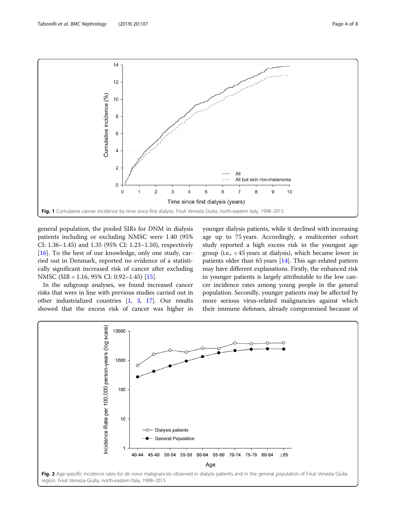<span id="page-3-0"></span>

general population, the pooled SIRs for DNM in dialysis patients including or excluding NMSC were 1.40 (95% CI: 1.36–1.45) and 1.35 (95% CI: 1.23–1.50), respectively [ $16$ ]. To the best of our knowledge, only one study, carried out in Denmark, reported no evidence of a statistically significant increased risk of cancer after excluding NMSC (SIR = 1.16, 95% CI: 0.92–1.45) [\[15](#page-7-0)].

In the subgroup analyses, we found increased cancer risks that were in line with previous studies carried out in other industrialized countries [\[1](#page-7-0), [3,](#page-7-0) [17](#page-7-0)]. Our results showed that the excess risk of cancer was higher in younger dialysis patients, while it declined with increasing age up to 75 years. Accordingly, a multicenter cohort study reported a high excess risk in the youngest age group (i.e., < 45 years at dialysis), which became lower in patients older than  $65$  years  $[14]$ . This age-related pattern may have different explanations. Firstly, the enhanced risk in younger patients is largely attributable to the low cancer incidence rates among young people in the general population. Secondly, younger patients may be affected by more serious virus-related malignancies against which their immune defenses, already compromised because of

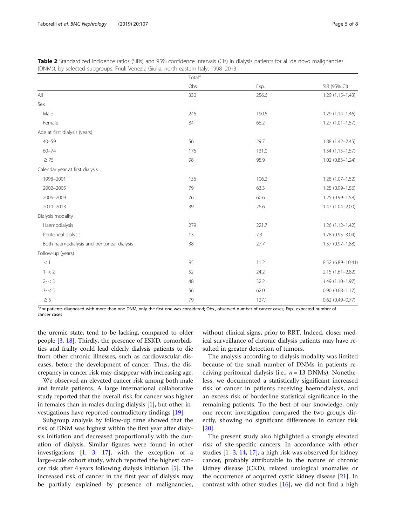|                                            | Total <sup>a</sup> |       |                     |  |
|--------------------------------------------|--------------------|-------|---------------------|--|
|                                            | Obs.               | Exp.  | SIR (95% CI)        |  |
| All                                        | 330                | 256.6 | $1.29(1.15 - 1.43)$ |  |
| Sex                                        |                    |       |                     |  |
| Male                                       | 246                | 190.5 | $1.29(1.14 - 1.46)$ |  |
| Female                                     | 84                 | 66.2  | $1.27(1.01 - 1.57)$ |  |
| Age at first dialysis (years)              |                    |       |                     |  |
| $40 - 59$                                  | 56                 | 29.7  | $1.88(1.42 - 2.45)$ |  |
| $60 - 74$                                  | 176                | 131.0 | $1.34(1.15 - 1.57)$ |  |
| $\geq 75$                                  | 98                 | 95.9  | $1.02(0.83 - 1.24)$ |  |
| Calendar year at first dialysis            |                    |       |                     |  |
| 1998-2001                                  | 136                | 106.2 | $1.28(1.07 - 1.52)$ |  |
| 2002-2005                                  | 79                 | 63.3  | 1.25 (0.99-1.56)    |  |
| 2006-2009                                  | 76                 | 60.6  | 1.25 (0.99-1.58)    |  |
| 2010-2013                                  | 39                 | 26.6  | 1.47 (1.04-2.00)    |  |
| Dialysis modality                          |                    |       |                     |  |
| Haemodialysis                              | 279                | 221.7 | $1.26(1.12 - 1.42)$ |  |
| Peritoneal dialysis                        | 13                 | 7.3   | 1.78 (0.95-3.04)    |  |
| Both haemodialysis and peritoneal dialysis | 38                 | 27.7  | $1.37(0.97 - 1.88)$ |  |
| Follow-up (years)                          |                    |       |                     |  |
| $<1\,$                                     | 95                 | 11.2  | 8.52 (6.89-10.41)   |  |
| $1 - 2$                                    | 52                 | 24.2  | $2.15(1.61 - 2.82)$ |  |
| $2 - < 3$                                  | 48                 | 32.2  | $1.49(1.10-1.97)$   |  |
| $3 - 5$                                    | 56                 | 62.0  | $0.90(0.68 - 1.17)$ |  |
| $\geq$ 5                                   | 79                 | 127.1 | $0.62$ (0.49-0.77)  |  |

<span id="page-4-0"></span>Table 2 Standardized incidence ratios (SIRs) and 95% confidence intervals (CIs) in dialysis patients for all de novo malignancies (DNMs), by selected subgroups. Friuli Venezia Giulia, north-eastern Italy, 1998–2013

<sup>a</sup>For patients diagnosed with more than one DNM, only the first one was considered; Obs., observed number of cancer cases; Exp., expected number of cancer cases

the uremic state, tend to be lacking, compared to older people [\[3](#page-7-0), [18\]](#page-7-0). Thirdly, the presence of ESKD, comorbidities and frailty could lead elderly dialysis patients to die from other chronic illnesses, such as cardiovascular diseases, before the development of cancer. Thus, the discrepancy in cancer risk may disappear with increasing age.

We observed an elevated cancer risk among both male and female patients. A large international collaborative study reported that the overall risk for cancer was higher in females than in males during dialysis [[1\]](#page-7-0), but other investigations have reported contradictory findings [[19\]](#page-7-0).

Subgroup analysis by follow-up time showed that the risk of DNM was highest within the first year after dialysis initiation and decreased proportionally with the duration of dialysis. Similar figures were found in other investigations [\[1](#page-7-0), [3](#page-7-0), [17](#page-7-0)], with the exception of a large-scale cohort study, which reported the highest cancer risk after 4 years following dialysis initiation [[5\]](#page-7-0). The increased risk of cancer in the first year of dialysis may be partially explained by presence of malignancies, without clinical signs, prior to RRT. Indeed, closer medical surveillance of chronic dialysis patients may have resulted in greater detection of tumors.

The analysis according to dialysis modality was limited because of the small number of DNMs in patients receiving peritoneal dialysis (i.e.,  $n = 13$  DNMs). Nonetheless, we documented a statistically significant increased risk of cancer in patients receiving haemodialysis, and an excess risk of borderline statistical significance in the remaining patients. To the best of our knowledge, only one recent investigation compared the two groups directly, showing no significant differences in cancer risk [[20\]](#page-7-0).

The present study also highlighted a strongly elevated risk of site-specific cancers. In accordance with other studies [\[1](#page-7-0)–[3,](#page-7-0) [14,](#page-7-0) [17\]](#page-7-0), a high risk was observed for kidney cancer, probably attributable to the nature of chronic kidney disease (CKD), related urological anomalies or the occurrence of acquired cystic kidney disease [\[21](#page-7-0)]. In contrast with other studies  $[16]$  $[16]$ , we did not find a high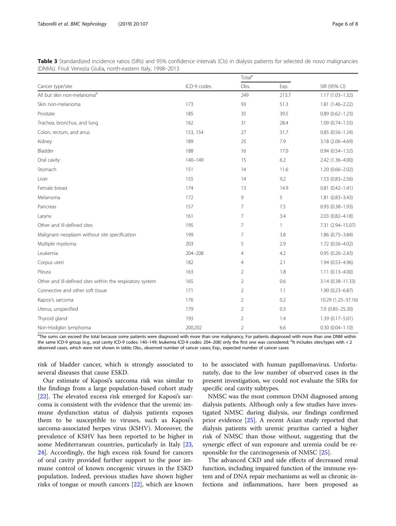<span id="page-5-0"></span>

| Table 3 Standardized incidence ratios (SIRs) and 95% confidence intervals (CIs) in dialysis patients for selected de novo malignancies |  |  |
|----------------------------------------------------------------------------------------------------------------------------------------|--|--|
| (DNMs). Friuli Venezia Giulia, north-eastern Italy, 1998–2013                                                                          |  |  |

| Cancer type/site                                          | ICD-9 codes | Total <sup>a</sup> |              |                     |
|-----------------------------------------------------------|-------------|--------------------|--------------|---------------------|
|                                                           |             | Obs.               | Exp.         | SIR (95% CI)        |
| All but skin non-melanomab                                |             | 249                | 213.7        | $1.17(1.03 - 1.32)$ |
| Skin non-melanoma                                         | 173         | 93                 | 51.3         | $1.81(1.46 - 2.22)$ |
| Prostate                                                  | 185         | 35                 | 39.5         | $0.89(0.62 - 1.23)$ |
| Trachea, bronchus, and lung                               | 162         | 31                 | 28.4         | $1.09(0.74 - 1.55)$ |
| Colon, rectum, and anus                                   | 153, 154    | 27                 | 31.7         | $0.85(0.56 - 1.24)$ |
| Kidney                                                    | 189         | 25                 | 7.9          | 3.18 (2.06-4.69)    |
| Bladder                                                   | 188         | 16                 | 17.0         | $0.94(0.54 - 1.52)$ |
| Oral cavity                                               | $140 - 149$ | 15                 | 6.2          | 2.42 (1.36-4.00)    |
| Stomach                                                   | 151         | 14                 | 11.6         | $1.20(0.66 - 2.02)$ |
| Liver                                                     | 155         | 14                 | 9.2          | $1.53(0.83 - 2.56)$ |
| Female breast                                             | 174         | 13                 | 14.9         | $0.81(0.42 - 1.41)$ |
| Melanoma                                                  | 172         | 9                  | 5            | $1.81(0.83 - 3.43)$ |
| Pancreas                                                  | 157         | 7                  | 7.5          | $0.93(0.38 - 1.93)$ |
| Larynx                                                    | 161         | 7                  | 3.4          | $2.03(0.82 - 4.18)$ |
| Other and ill-defined sites                               | 195         | 7                  | $\mathbf{1}$ | 7.31 (2.94-15.07)   |
| Malignant neoplasm without site specification             | 199         | 7                  | 3.8          | $1.86(0.75 - 3.84)$ |
| Multiple myeloma                                          | 203         | 5                  | 2.9          | 1.72 (0.56-4.02)    |
| Leukemia                                                  | $204 - 208$ | 4                  | 4.2          | $0.95(0.26 - 2.43)$ |
| Corpus uteri                                              | 182         | 4                  | 2.1          | $1.94(0.53 - 4.96)$ |
| Pleura                                                    | 163         | $\overline{2}$     | 1.8          | $1.11(0.13 - 4.00)$ |
| Other and ill-defined sites within the respiratory system | 165         | $\overline{2}$     | 0.6          | 3.14 (0.38-11.33)   |
| Connective and other soft tissue                          | 171         | $\overline{2}$     | 1.1          | $1.90(0.23 - 6.87)$ |
| Kaposi's sarcoma                                          | 176         | $\overline{2}$     | 0.2          | 10.29 (1.25-37.16)  |
| Uterus, unspecified                                       | 179         | $\overline{2}$     | 0.3          | 7.0 (0.85-25.30)    |
| Thyroid gland                                             | 193         | $\overline{2}$     | 1.4          | $1.39(0.17 - 5.01)$ |
| Non-Hodgkin lymphoma                                      | 200,202     | 2                  | 6.6          | $0.30(0.04 - 1.10)$ |

<sup>a</sup>The sums can exceed the total because some patients were diagnosed with more than one malignancy. For patients diagnosed with more than one DNM within the same ICD-9 group (e.g., oral cavity ICD-9 codes: 140–149; leukemia ICD-9 codes: 204–208) only the first one was considered; <sup>b</sup>It includes sites/types with < 2 observed cases, which were not shown in table; Obs., observed number of cancer cases; Exp., expected number of cancer cases

risk of bladder cancer, which is strongly associated to several diseases that cause ESKD.

Our estimate of Kaposi's sarcoma risk was similar to the findings from a large population-based cohort study [[22\]](#page-7-0). The elevated excess risk emerged for Kaposi's sarcoma is consistent with the evidence that the uremic immune dysfunction status of dialysis patients exposes them to be susceptible to viruses, such as Kaposi's sarcoma-associated herpes virus (KSHV). Moreover, the prevalence of KSHV has been reported to be higher in some Mediterranean countries, particularly in Italy [[23](#page-7-0), [24\]](#page-7-0). Accordingly, the high excess risk found for cancers of oral cavity provided further support to the poor immune control of known oncogenic viruses in the ESKD population. Indeed, previous studies have shown higher risks of tongue or mouth cancers [[22\]](#page-7-0), which are known

to be associated with human papillomavirus. Unfortunately, due to the low number of observed cases in the present investigation, we could not evaluate the SIRs for specific oral cavity subtypes.

NMSC was the most common DNM diagnosed among dialysis patients. Although only a few studies have investigated NMSC during dialysis, our findings confirmed prior evidence [\[25](#page-7-0)]. A recent Asian study reported that dialysis patients with uremic pruritus carried a higher risk of NMSC than those without, suggesting that the synergic effect of sun exposure and uremia could be responsible for the carcinogenesis of NMSC [\[25](#page-7-0)].

The advanced CKD and side effects of decreased renal function, including impaired function of the immune system and of DNA repair mechanisms as well as chronic infections and inflammations, have been proposed as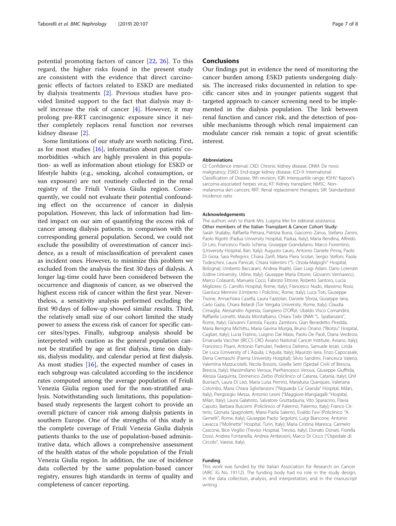potential promoting factors of cancer [[22](#page-7-0), [26](#page-7-0)]. To this regard, the higher risks found in the present study are consistent with the evidence that direct carcinogenic effects of factors related to ESKD are mediated by dialysis treatments [\[2](#page-7-0)]. Previous studies have provided limited support to the fact that dialysis may itself increase the risk of cancer [[4\]](#page-7-0). However, it may prolong pre-RRT carcinogenic exposure since it neither completely replaces renal function nor reverses kidney disease [\[2](#page-7-0)].

Some limitations of our study are worth noticing. First, as for most studies [[16\]](#page-7-0), information about patients' comorbidities -which are highly prevalent in this population- as well as information about etiology for ESKD or lifestyle habits (e.g., smoking, alcohol consumption, or sun exposure) are not routinely collected in the renal registry of the Friuli Venezia Giulia region. Consequently, we could not evaluate their potential confounding effect on the occurrence of cancer in dialysis population. However, this lack of information had limited impact on our aim of quantifying the excess risk of cancer among dialysis patients, in comparison with the corresponding general population. Second, we could not exclude the possibility of overestimation of cancer incidence, as a result of misclassification of prevalent cases as incident ones. However, to minimize this problem we excluded from the analysis the first 30 days of dialysis. A longer lag-time could have been considered between the occurrence and diagnosis of cancer, as we observed the highest excess risk of cancer within the first year. Nevertheless, a sensitivity analysis performed excluding the first 90 days of follow-up showed similar results. Third, the relatively small size of our cohort limited the study power to assess the excess risk of cancer for specific cancer sites/types. Finally, subgroup analysis should be interpreted with caution as the general population cannot be stratified by age at first dialysis, time on dialysis, dialysis modality, and calendar period at first dialysis. As most studies [\[16\]](#page-7-0), the expected number of cases in each subgroup was calculated according to the incidence rates computed among the average population of Friuli Venezia Giulia region used for the non-stratified analysis. Notwithstanding such limitations, this populationbased study represents the largest cohort to provide an overall picture of cancer risk among dialysis patients in southern Europe. One of the strengths of this study is the complete coverage of Friuli Venezia Giulia dialysis patients thanks to the use of population-based administrative data, which allows a comprehensive assessment of the health status of the whole population of the Friuli Venezia Giulia region. In addition, the use of incidence data collected by the same population-based cancer registry, ensures high standards in terms of quality and completeness of cancer reporting.

#### **Conclusions**

Our findings put in evidence the need of monitoring the cancer burden among ESKD patients undergoing dialysis. The increased risks documented in relation to specific cancer sites and in younger patients suggest that targeted approach to cancer screening need to be implemented in the dialysis population. The link between renal function and cancer risk, and the detection of possible mechanisms through which renal impairment can modulate cancer risk remain a topic of great scientific interest.

#### Abbreviations

CI: Confidence interval; CKD: Chronic kidney disease; DNM: De novo malignancy; ESKD: End-stage kidney disease; ICD-9: International Classification of Disease, 9th revision; IQR: Interquartile range; KSHV: Kaposi's sarcoma-associated herpes virus; KT: Kidney transplant; NMSC: Nonmelanoma skin cancers; RRT: Renal replacement therapies; SIR: Standardized incidence ratio

#### Acknowledgements

The authors wish to thank Mrs. Luigina Mei for editorial assistance. Other members of the Italian Transplant & Cancer Cohort Study: Sarah Shalaby, Raffaella Petrara, Patrizia Burra, Giacomo Zanus, Stefano Zanini, Paolo Rigotti (Padua University Hospital, Padua, Italy); Maria Rendina, Alfredo Di Leo, Francesco Paolo Schena, Giuseppe Grandaliano, Marco Fiorentino, (University Hospital, Bari, Italy); Augusto Lauro, Antonio Daniele Pinna, Paolo Di Gioia, Sara Pellegrini, Chiara Zanfi, Maria Piera Scolari, Sergio Stefoni, Paola Todeschini, Laura Panicali, Chiara Valentini ("S. Orsola-Malpighi" Hospital, Bologna); Umberto Baccarani, Andrea Risaliti, Gian Luigi Adani, Dario Lorenzin (Udine University, Udine, Italy); Giuseppe Maria Ettorre, Giovanni Vennarecci, Marco Colasanti, Manuela Coco, Fabrizio Ettorre, Roberto Santoro, Lucia Miglioresi (S. Camillo Hospital, Rome, Italy); Francesco Nudo, Massimo Rossi, Gianluca Mennini (Umberto I Policlinic, Rome, Italy); Luca Toti, Giuseppe Tisone, Annachiara Casella, Laura Fazzolari, Daniele Sforza, Giuseppe Iaria, Carlo Gazia, Chiara Belardi (Tor Vergata University, Rome, Italy); Claudia Cimaglia, Alessandro Agresta, Gianpiero D'Offizi, Ubaldo Visco Comandini, Raffaella Lionetti, Marzia Montalbano, Chiara Taibi (INMI "L. Spallanzani", Rome, Italy); Giovanni Fantola, Fausto Zamboni, Gian Benedetto Piredda, Maria Benigna Michittu, Maria Gavina Murgia, Bruno Onano ("Brotzu" Hospital, Cagliari, Italy); Lucia Fratino, Luigino Dal Maso, Paolo De Paoli, Diana Verdirosi, Emanuela Vaccher (IRCCS CRO Aviano National Cancer Institute, Aviano, Italy); Francesco Pisani, Antonio Famulari, Federica Delreno, Samuele Iesari, Linda De Luca (University of L'Aquila, L'Aquila, Italy); Maurizio Iaria, Enzo Capocasale, Elena Cremaschi (Parma University Hospital); Silvio Sandrini, Francesca Valerio, Valentina Mazzucotelli, Nicola Bossini, Gisella Setti (Spedali Civili of Brescia, Brescia, Italy); Massimiliano Veroux, Pierfrancesco Veroux, Giuseppe Giuffrida, Alessia Giaquinta, Domenico Zerbo (Policlinico of Catania, Catania, Italy); Ghil Busnach, Laura Di Leo, Maria Luisa Perrino, Marialuisa Querques, Valeriana Colombo, Maria Chiara Sghirlanzoni ("Niguarda Ca' Granda" Hospital, Milan, Italy); Piergiorgio Messa, Antonio Leoni ("Maggiore-Mangiagalli "Hospital, Milan, Italy); Laura Galatioto, Salvatore Gruttadauria, Vito Sparacino, Flavia Caputo, Barbara Buscemi (Policlinico of Palermo, Palermo, Italy); Franco Citterio, Gionata Spagnoletti, Maria Paola Salerno, Evaldo Favi (Policlinico "A. Gemelli", Rome, Italy); Giuseppe Paolo Segoloni, Luigi Biancone, Antonio Lavacca ("Molinette" Hospital, Turin, Italy); Maria Cristina Maresca, Carmelo Cascone, Bice Virgilio (Treviso Hospital, Treviso, Italy); Donato Donati, Fiorella Dossi, Andrea Fontanella, Andrea Ambrosini, Marco Di Cicco ("Ospedale di Circolo", Varese, Italy).

#### Funding

This work was funded by the Italian Association for Research on Cancer (AIRC IG No. 19112). The funding body had no role in the study design, in the data collection, analysis, and interpretation, and in the manuscript writing